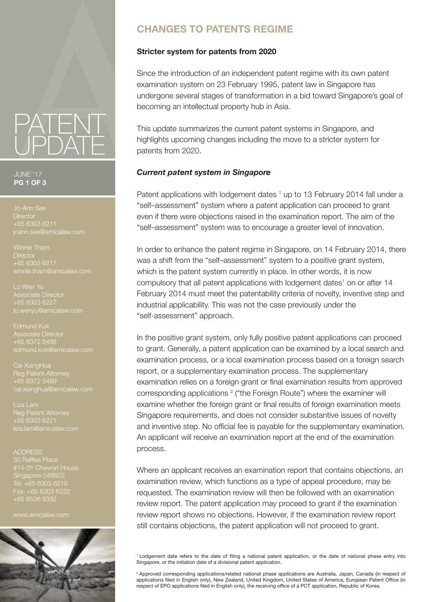# **CHANGES TO PATENTS REGIME**

### **Stricter system for patents from 2020**

Since the introduction of an independent patent regime with its own patent examination system on 23 February 1995, patent law in Singapore has undergone several stages of transformation in a bid toward Singapore's goal of becoming an intellectual property hub in Asia.

This update summarizes the current patent systems in Singapore, and highlights upcoming changes including the move to a stricter system for patents from 2020.

### *Current patent system in Singapore*

Patent applications with lodgement dates <sup>1</sup> up to 13 February 2014 fall under a "self–assessment" system where a patent application can proceed to grant even if there were objections raised in the examination report. The aim of the "self–assessment" system was to encourage a greater level of innovation.

In order to enhance the patent regime in Singapore, on 14 February 2014, there was a shift from the "self–assessment" system to a positive grant system, which is the patent system currently in place. In other words, it is now compulsory that all patent applications with lodgement dates<sup>1</sup> on or after 14 February 2014 must meet the patentability criteria of novelty, inventive step and industrial applicability. This was not the case previously under the "self-assessment" approach.

In the positive grant system, only fully positive patent applications can proceed to grant. Generally, a patent application can be examined by a local search and examination process, or a local examination process based on a foreign search report, or a supplementary examination process. The supplementary examination relies on a foreign grant or final examination results from approved corresponding applications<sup>2</sup> ("the Foreign Route") where the examiner will examine whether the foreign grant or final results of foreign examination meets Singapore requirements, and does not consider substantive issues of novelty and inventive step. No official fee is payable for the supplementary examination. An applicant will receive an examination report at the end of the examination process.

Where an applicant receives an examination report that contains objections, an examination review, which functions as a type of appeal procedure, may be requested. The examination review will then be followed with an examination review report. The patent application may proceed to grant if the examination review report shows no objections. However, if the examination review report still contains objections, the patent application will not proceed to grant.

1 Lodgement date refers to the date of filing a national patent application, or the date of national phase entry into Singapore, or the initiation date of a divisional patent application.

2 Approved corresponding applications/related national phase applications are Australia, Japan, Canada (in respect of applications filed in English only), New Zealand, United Kingdom, United States of America, European Patent Office (in respect of EPO applications filed in English only), the receiving office of a PCT application, Republic of Korea.

### JUNE '17 **PG 1 OF 3**

**Director** +65 6303 6211 oann.see@amicalaw.com

PATENT

UPDATE

Winnie Tham **Director** +65 6303 6217 winnie.tham@amicalaw.com

Lo Wen Yu Associate Director +65 6303 6227 lo.wenyu@amicalaw.com

Edmund Kok

Reg Patent Attorney +65 6372 5489

Reg Patent Attorney liza.lam@amicalaw.com

#### ADDRESS

30 Raffles Place Singapore 048622 Fax: +65 6303 6222 +65 6536 9332

www.amicalaw.com

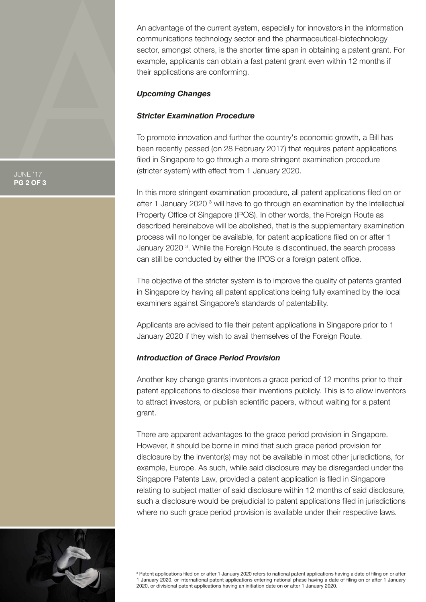An advantage of the current system, especially for innovators in the information communications technology sector and the pharmaceutical-biotechnology sector, amongst others, is the shorter time span in obtaining a patent grant. For example, applicants can obtain a fast patent grant even within 12 months if their applications are conforming.

### *Upcoming Changes*

# *Stricter Examination Procedure*

To promote innovation and further the country's economic growth, a Bill has been recently passed (on 28 February 2017) that requires patent applications filed in Singapore to go through a more stringent examination procedure (stricter system) with effect from 1 January 2020.

In this more stringent examination procedure, all patent applications filed on or after 1 January 2020<sup>3</sup> will have to go through an examination by the Intellectual Property Office of Singapore (IPOS). In other words, the Foreign Route as described hereinabove will be abolished, that is the supplementary examination process will no longer be available, for patent applications filed on or after 1 January 2020<sup>3</sup>. While the Foreign Route is discontinued, the search process can still be conducted by either the IPOS or a foreign patent office.

The objective of the stricter system is to improve the quality of patents granted in Singapore by having all patent applications being fully examined by the local examiners against Singapore's standards of patentability.

Applicants are advised to file their patent applications in Singapore prior to 1 January 2020 if they wish to avail themselves of the Foreign Route.

# *Introduction of Grace Period Provision*

Another key change grants inventors a grace period of 12 months prior to their patent applications to disclose their inventions publicly. This is to allow inventors to attract investors, or publish scientific papers, without waiting for a patent grant.

There are apparent advantages to the grace period provision in Singapore. However, it should be borne in mind that such grace period provision for disclosure by the inventor(s) may not be available in most other jurisdictions, for example, Europe. As such, while said disclosure may be disregarded under the Singapore Patents Law, provided a patent application is filed in Singapore relating to subject matter of said disclosure within 12 months of said disclosure, such a disclosure would be prejudicial to patent applications filed in jurisdictions where no such grace period provision is available under their respective laws.



3 Patent applications filed on or after 1 January 2020 refers to national patent applications having a date of filing on or after 1 January 2020, or international patent applications entering national phase having a date of filing on or after 1 January 2020, or divisional patent applications having an initiation date on or after 1 January 2020.

JUNE '17 **PG 2 OF 3**